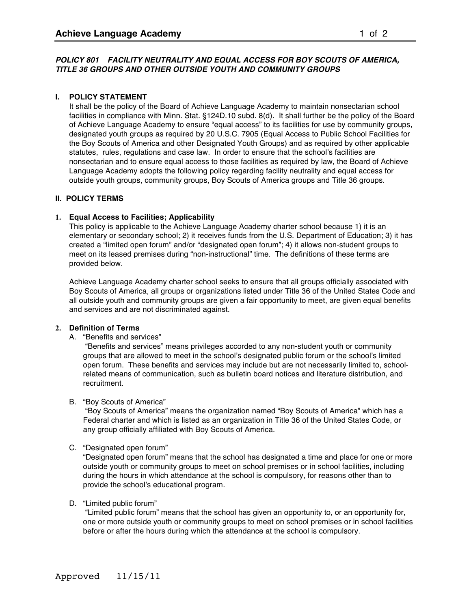#### *POLICY 801 FACILITY NEUTRALITY AND EQUAL ACCESS FOR BOY SCOUTS OF AMERICA, TITLE 36 GROUPS AND OTHER OUTSIDE YOUTH AND COMMUNITY GROUPS*

## **I. POLICY STATEMENT**

It shall be the policy of the Board of Achieve Language Academy to maintain nonsectarian school facilities in compliance with Minn. Stat. §124D.10 subd. 8(d). It shall further be the policy of the Board of Achieve Language Academy to ensure "equal access" to its facilities for use by community groups, designated youth groups as required by 20 U.S.C. 7905 (Equal Access to Public School Facilities for the Boy Scouts of America and other Designated Youth Groups) and as required by other applicable statutes, rules, regulations and case law. In order to ensure that the school's facilities are nonsectarian and to ensure equal access to those facilities as required by law, the Board of Achieve Language Academy adopts the following policy regarding facility neutrality and equal access for outside youth groups, community groups, Boy Scouts of America groups and Title 36 groups.

# **II. POLICY TERMS**

## **1. Equal Access to Facilities; Applicability**

This policy is applicable to the Achieve Language Academy charter school because 1) it is an elementary or secondary school; 2) it receives funds from the U.S. Department of Education; 3) it has created a "limited open forum" and/or "designated open forum"; 4) it allows non-student groups to meet on its leased premises during "non-instructional" time. The definitions of these terms are provided below.

Achieve Language Academy charter school seeks to ensure that all groups officially associated with Boy Scouts of America, all groups or organizations listed under Title 36 of the United States Code and all outside youth and community groups are given a fair opportunity to meet, are given equal benefits and services and are not discriminated against.

## **2. Definition of Terms**

## A. "Benefits and services"

 "Benefits and services" means privileges accorded to any non-student youth or community groups that are allowed to meet in the school's designated public forum or the school's limited open forum. These benefits and services may include but are not necessarily limited to, schoolrelated means of communication, such as bulletin board notices and literature distribution, and recruitment.

## B. "Boy Scouts of America"

 "Boy Scouts of America" means the organization named "Boy Scouts of America" which has a Federal charter and which is listed as an organization in Title 36 of the United States Code, or any group officially affiliated with Boy Scouts of America.

## C. "Designated open forum"

"Designated open forum" means that the school has designated a time and place for one or more outside youth or community groups to meet on school premises or in school facilities, including during the hours in which attendance at the school is compulsory, for reasons other than to provide the school's educational program.

# D. "Limited public forum"

 "Limited public forum" means that the school has given an opportunity to, or an opportunity for, one or more outside youth or community groups to meet on school premises or in school facilities before or after the hours during which the attendance at the school is compulsory.